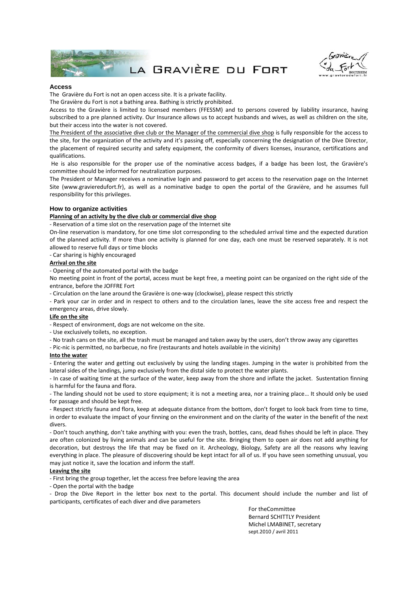

LA GRAVIÈRE DU FORT



#### **Access**

The Gravière du Fort is not an open access site. It is a private facility.

The Gravière du Fort is not a bathing area. Bathing is strictly prohibited.

Access to the Gravière is limited to licensed members (FFESSM) and to persons covered by liability insurance, having subscribed to a pre planned activity. Our Insurance allows us to accept husbands and wives, as well as children on the site, but their access into the water is not covered.

The President of the associative dive club or the Manager of the commercial dive shop is fully responsible for the access to the site, for the organization of the activity and it's passing off, especially concerning the designation of the Dive Director, the placement of required security and safety equipment, the conformity of divers licenses, insurance, certifications and qualifications.

He is also responsible for the proper use of the nominative access badges, if a badge has been lost, the Gravière's committee should be informed for neutralization purposes.

The President or Manager receives a nominative login and password to get access to the reservation page on the Internet Site (www.gravieredufort.fr), as well as a nominative badge to open the portal of the Gravière, and he assumes full responsibility for this privileges.

## **How to organize activities**

#### **Planning of an activity by the dive club or commercial dive shop**

‐ Reservation of a time slot on the reservation page of the Internet site

On-line reservation is mandatory, for one time slot corresponding to the scheduled arrival time and the expected duration of the planned activity. If more than one activity is planned for one day, each one must be reserved separately. It is not allowed to reserve full days or time blocks

‐ Car sharing is highly encouraged

### **Arrival on the site**

‐ Opening of the automated portal with the badge

No meeting point in front of the portal, access must be kept free, a meeting point can be organized on the right side of the entrance, before the JOFFRE Fort

‐ Circulation on the lane around the Gravière is one-way (clockwise), please respect this strictly

‐ Park your car in order and in respect to others and to the circulation lanes, leave the site access free and respect the emergency areas, drive slowly.

#### **Life on the site**

‐ Respect of environment, dogs are not welcome on the site.

‐ Use exclusively toilets, no exception.

- ‐ No trash cans on the site, all the trash must be managed and taken away by the users, don't throw away any cigarettes
- ‐ Pic-nic is permitted, no barbecue, no fire (restaurants and hotels available in the vicinity)

#### **Into the water**

‐ Entering the water and getting out exclusively by using the landing stages. Jumping in the water is prohibited from the lateral sides of the landings, jump exclusively from the distal side to protect the water plants.

‐ In case of waiting time at the surface of the water, keep away from the shore and inflate the jacket. Sustentation finning is harmful for the fauna and flora.

‐ The landing should not be used to store equipment; it is not a meeting area, nor a training place… It should only be used for passage and should be kept free.

‐ Respect strictly fauna and flora, keep at adequate distance from the bottom, don't forget to look back from time to time, in order to evaluate the impact of your finning on the environment and on the clarity of the water in the benefit of the next divers.

‐ Don't touch anything, don't take anything with you: even the trash, bottles, cans, dead fishes should be left in place. They are often colonized by living animals and can be useful for the site. Bringing them to open air does not add anything for decoration, but destroys the life that may be fixed on it. Archeology, Biology, Safety are all the reasons why leaving everything in place. The pleasure of discovering should be kept intact for all of us. If you have seen something unusual, you may just notice it, save the location and inform the staff.

#### **Leaving the site**

‐ First bring the group together, let the access free before leaving the area

‐ Open the portal with the badge

‐ Drop the Dive Report in the letter box next to the portal. This document should include the number and list of participants, certificates of each diver and dive parameters

> For theCommittee Bernard SCHITTLY President Michel LMABINET, secretary sept.2010 / avril 2011